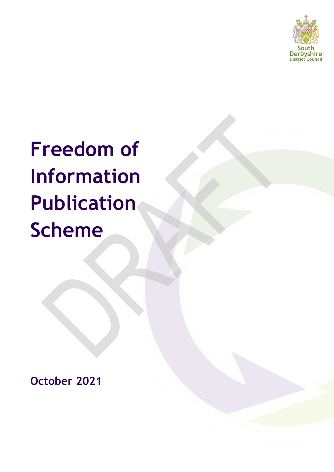

# **Freedom of Information Publication Scheme**

**October 2021**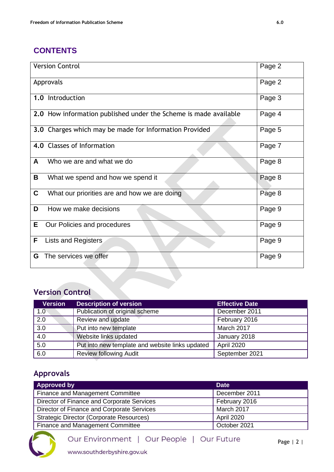# **CONTENTS**

| <b>Version Control</b>                                           | Page 2 |
|------------------------------------------------------------------|--------|
| Approvals                                                        | Page 2 |
| 1.0 Introduction                                                 | Page 3 |
| 2.0 How information published under the Scheme is made available | Page 4 |
| 3.0 Charges which may be made for Information Provided           | Page 5 |
| 4.0 Classes of Information                                       | Page 7 |
| A<br>Who we are and what we do                                   | Page 8 |
| В<br>What we spend and how we spend it                           | Page 8 |
| C<br>What our priorities are and how we are doing                | Page 8 |
| D<br>How we make decisions                                       | Page 9 |
| E.<br>Our Policies and procedures                                | Page 9 |
| F<br>Lists and Registers                                         | Page 9 |
| The services we offer<br>G                                       | Page 9 |

# **Version Control**

| <b>Version</b>   | <b>Description of version</b>                   | <b>Effective Date</b> |
|------------------|-------------------------------------------------|-----------------------|
| 1.0              | Publication of original scheme                  | December 2011         |
| $\overline{2.0}$ | Review and update                               | February 2016         |
| $\overline{3.0}$ | Put into new template                           | March 2017            |
| $\overline{4.0}$ | Website links updated                           | January 2018          |
| $\overline{5.0}$ | Put into new template and website links updated | <b>April 2020</b>     |
| 6.0              | <b>Review following Audit</b>                   | September 2021        |

# **Approvals**

| <b>Approved by</b>                              | <b>Date</b>   |
|-------------------------------------------------|---------------|
| Finance and Management Committee                | December 2011 |
| Director of Finance and Corporate Services      | February 2016 |
| Director of Finance and Corporate Services      | March 2017    |
| <b>Strategic Director (Corporate Resources)</b> | April 2020    |
| <b>Finance and Management Committee</b>         | October 2021  |



www.southderbyshire.gov.uk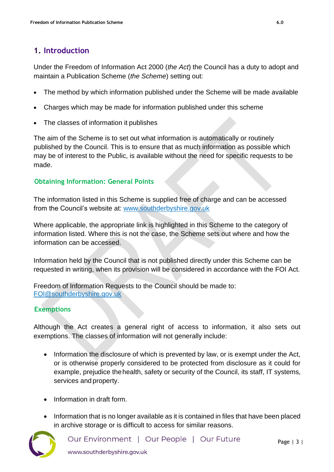# **1. Introduction**

Under the Freedom of Information Act 2000 (*the Act*) the Council has a duty to adopt and maintain a Publication Scheme (*the Scheme*) setting out:

- The method by which information published under the Scheme will be made available
- Charges which may be made for information published under this scheme
- The classes of information it publishes

The aim of the Scheme is to set out what information is automatically or routinely published by the Council. This is to ensure that as much information as possible which may be of interest to the Public, is available without the need for specific requests to be made.

#### **Obtaining Information: General Points**

The information listed in this Scheme is supplied free of charge and can be accessed from the Council's website at: [www.southderbyshire.gov.uk](http://www.southderbyshire.gov.uk/)

Where applicable, the appropriate link is highlighted in this Scheme to the category of information listed. Where this is not the case, the Scheme sets out where and how the information can be accessed.

Information held by the Council that is not published directly under this Scheme can be requested in writing, when its provision will be considered in accordance with the FOI Act.

Freedom of Information Requests to the Council should be made to: [FOI@southderbyshire.gov.uk](mailto:FOI@southderbyshire.gov.uk)

#### **Exemptions**

Although the Act creates a general right of access to information, it also sets out exemptions. The classes of information will not generally include:

- Information the disclosure of which is prevented by law, or is exempt under the Act, or is otherwise properly considered to be protected from disclosure as it could for example, prejudice thehealth, safety or security of the Council, its staff, IT systems, services and property.
- Information in draft form.
- Information that is no longer available as it is contained in files that have been placed in archive storage or is difficult to access for similar reasons.

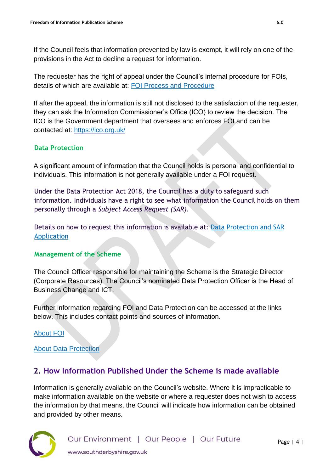If the Council feels that information prevented by law is exempt, it will rely on one of the provisions in the Act to decline a request for information.

The requester has the right of appeal under the Council's internal procedure for FOIs, details of which are available at: [FOI Process and Procedure](http://www.southderbyshire.gov.uk/about-us/freedom-of-information)

If after the appeal, the information is still not disclosed to the satisfaction of the requester, they can ask the Information Commissioner's Office (ICO) to review the decision. The ICO is the Government department that oversees and enforces FOI and can be contacted at:<https://ico.org.uk/>

#### **Data Protection**

A significant amount of information that the Council holds is personal and confidential to individuals. This information is not generally available under a FOI request.

Under the Data Protection Act 2018, the Council has a duty to safeguard such information. Individuals have a right to see what information the Council holds on them personally through a *Subject Access Request (SAR)*.

Details on how to request this information is available at: [Data Protection and SAR](https://www.southderbyshire.gov.uk/about-us/data-privacy-and-cookies)  [Application](https://www.southderbyshire.gov.uk/about-us/data-privacy-and-cookies)

#### **Management of the Scheme**

The Council Officer responsible for maintaining the Scheme is the Strategic Director (Corporate Resources). The Council's nominated Data Protection Officer is the Head of Business Change and ICT.

Further information regarding FOI and Data Protection can be accessed at the links below. This includes contact points and sources of information.

#### [About FOI](http://www.southderbyshire.gov.uk/about-us/freedom-of-information)

#### [About Data Protection](https://www.southderbyshire.gov.uk/about-us/data-privacy-and-cookies)

## **2. How Information Published Under the Scheme is made available**

Information is generally available on the Council's website. Where it is impracticable to make information available on the website or where a requester does not wish to access the information by that means, the Council will indicate how information can be obtained and provided by other means.

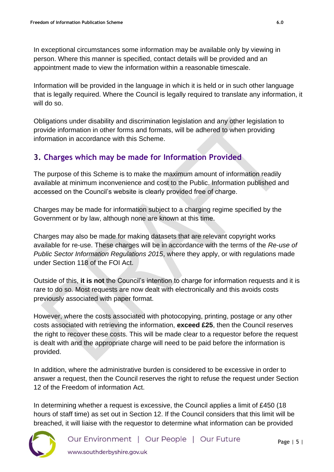In exceptional circumstances some information may be available only by viewing in person. Where this manner is specified, contact details will be provided and an appointment made to view the information within a reasonable timescale.

Information will be provided in the language in which it is held or in such other language that is legally required. Where the Council is legally required to translate any information, it will do so.

Obligations under disability and discrimination legislation and any other legislation to provide information in other forms and formats, will be adhered to when providing information in accordance with this Scheme.

## **3. Charges which may be made for Information Provided**

The purpose of this Scheme is to make the maximum amount of information readily available at minimum inconvenience and cost to the Public. Information published and accessed on the Council's website is clearly provided free of charge.

Charges may be made for information subject to a charging regime specified by the Government or by law, although none are known at this time.

Charges may also be made for making datasets that are relevant copyright works available for re-use. These charges will be in accordance with the terms of the *Re-use of Public Sector Information Regulations 2015*, where they apply, or with regulations made under Section 118 of the FOI Act.

Outside of this, **it is not** the Council's intention to charge for information requests and it is rare to do so. Most requests are now dealt with electronically and this avoids costs previously associated with paper format.

However, where the costs associated with photocopying, printing, postage or any other costs associated with retrieving the information, **exceed £25**, then the Council reserves the right to recover these costs. This will be made clear to a requestor before the request is dealt with and the appropriate charge will need to be paid before the information is provided.

In addition, where the administrative burden is considered to be excessive in order to answer a request, then the Council reserves the right to refuse the request under Section 12 of the Freedom of information Act.

In determining whether a request is excessive, the Council applies a limit of  $£450$  (18 hours of staff time) as set out in Section 12. If the Council considers that this limit will be breached, it will liaise with the requestor to determine what information can be provided

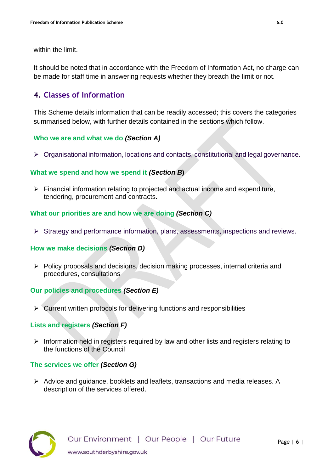within the limit.

It should be noted that in accordance with the Freedom of Information Act, no charge can be made for staff time in answering requests whether they breach the limit or not.

### **4. Classes of Information**

This Scheme details information that can be readily accessed; this covers the categories summarised below, with further details contained in the sections which follow.

#### **Who we are and what we do** *(Section A)*

➢ Organisational information, locations and contacts, constitutional and legal governance.

#### **What we spend and how we spend it** *(Section B***)**

➢ Financial information relating to projected and actual income and expenditure, tendering, procurement and contracts.

#### **What our priorities are and how we are doing** *(Section C)*

➢ Strategy and performance information, plans, assessments, inspections and reviews.

#### **How we make decisions** *(Section D)*

➢ Policy proposals and decisions, decision making processes, internal criteria and procedures, consultations

#### **Our policies and procedures** *(Section E)*

 $\triangleright$  Current written protocols for delivering functions and responsibilities

#### **Lists and registers** *(Section F)*

➢ Information held in registers required by law and other lists and registers relating to the functions of the Council

#### **The services we offer** *(Section G)*

➢ Advice and guidance, booklets and leaflets, transactions and media releases. A description of the services offered.

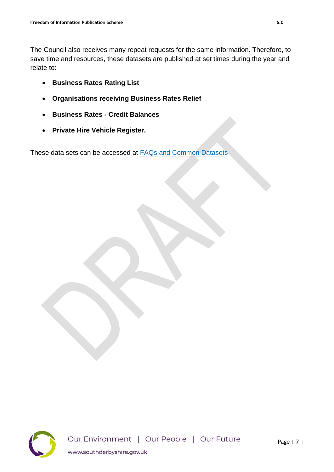The Council also receives many repeat requests for the same information. Therefore, to save time and resources, these datasets are published at set times during the year and relate to:

- **Business Rates Rating List**
- **Organisations receiving Business Rates Relief**
- **Business Rates - Credit Balances**
- **Private Hire Vehicle Register.**

These data sets can be accessed at [FAQs and Common Datasets](https://www.southderbyshire.gov.uk/about-us/frequentfois)

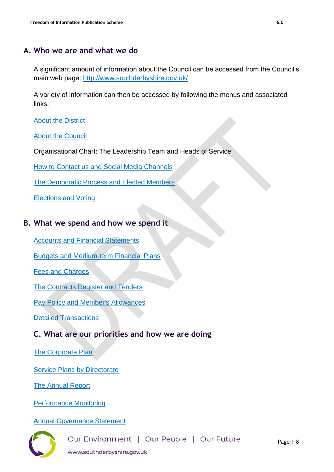## **A. Who we are and what we do**

A significant amount of information about the Council can be accessed from the Council's main web page: <http://www.southderbyshire.gov.uk/>

A variety of information can then be accessed by following the menus and associated links.

[About the District](https://www.southderbyshire.gov.uk/about-us/about-our-district)

[About the Council](https://www.southderbyshire.gov.uk/about-us/about-the-council)

Organisational Chart: The Leadership Team and Heads of Service

[How to Contact us and Social Media Channels](https://www.southderbyshire.gov.uk/about-us/contact-us)

[The Democratic Process and Elected Members](http://www.southderbyshire.gov.uk/about-us/councillors-and-meetings)

[Elections and Voting](http://www.southderbyshire.gov.uk/our-services/voting-and-elections)

#### **B. What we spend and how we spend it**

[Accounts and Financial Statements](https://www.southderbyshire.gov.uk/about-us/financial-information/spending-and-budgets)

[Budgets and Medium-term Financial Plans](https://south-derbys.cmis.uk.com/southderbyshire/Meetings/tabid/70/ctl/ViewMeetingPublic/mid/397/Meeting/2408/Committee/493/Default.aspx)

[Fees and Charges](https://www.southderbyshire.gov.uk/about-us/financial-information/fees-and-charges)

[The Contracts Register and Tenders](https://www.southderbyshire.gov.uk/about-us/financial-information/contracts-and-tenders)

[Pay Policy and Member's Allowances](https://www.southderbyshire.gov.uk/about-us/financial-information/pay-and-allowances)

[Detailed Transactions](https://www.southderbyshire.gov.uk/about-us/open-data-and-transparency)

# **C. What are our priorities and how we are doing**

[The Corporate Plan](http://www.southderbyshire.gov.uk/about-us/performance)

**[Service Plans by Directorate](http://www.southderbyshire.gov.uk/about-us/performance)** 

[The Annual Report](http://www.southderbyshire.gov.uk/about-us/performance)

[Performance Monitoring](https://www.southderbyshire.gov.uk/about-us/performance)

[Annual Governance Statement](https://www.southderbyshire.gov.uk/about-us/about-the-council)